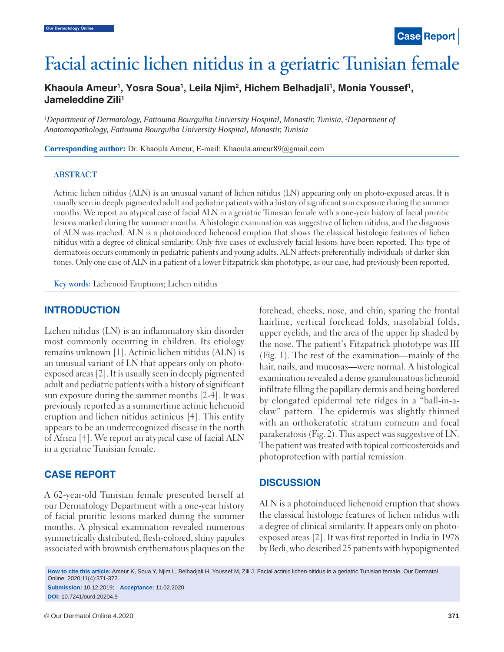# Facial actinic lichen nitidus in a geriatric Tunisian female

Khaoula Ameur<sup>1</sup>, Yosra Soua<sup>1</sup>, Leila Njim<sup>2</sup>, Hichem Belhadjali<sup>1</sup>, Monia Youssef<sup>1</sup>, **Jameleddine Zili1**

*1 Department of Dermatology, Fattouma Bourguiba University Hospital, Monastir, Tunisia, 2 Department of Anatomopathology, Fattouma Bourguiba University Hospital, Monastir, Tunisia*

**Corresponding author:** Dr. Khaoula Ameur, E-mail: Khaoula.ameur89@gmail.com

#### **ABSTRACT**

Actinic lichen nitidus (ALN) is an unusual variant of lichen nitidus (LN) appearing only on photo-exposed areas. It is usually seen in deeply pigmented adult and pediatric patients with a history of significant sun exposure during the summer months. We report an atypical case of facial ALN in a geriatric Tunisian female with a one-year history of facial pruritic lesions marked during the summer months. A histologic examination was suggestive of lichen nitidus, and the diagnosis of ALN was reached. ALN is a photoinduced lichenoid eruption that shows the classical histologic features of lichen nitidus with a degree of clinical similarity. Only five cases of exclusively facial lesions have been reported. This type of dermatosis occurs commonly in pediatric patients and young adults. ALN affects preferentially individuals of darker skin tones. Only one case of ALN in a patient of a lower Fitzpatrick skin phototype, as our case, had previously been reported.

**Key words:** Lichenoid Eruptions; Lichen nitidus

### **INTRODUCTION**

Lichen nitidus (LN) is an inflammatory skin disorder most commonly occurring in children. Its etiology remains unknown [1]. Actinic lichen nitidus (ALN) is an unusual variant of LN that appears only on photoexposed areas [2]. It is usually seen in deeply pigmented adult and pediatric patients with a history of significant sun exposure during the summer months [2-4]. It was previously reported as a summertime actinic lichenoid eruption and lichen nitidus actinicus [4]. This entity appears to be an underrecognized disease in the north of Africa [4]. We report an atypical case of facial ALN in a geriatric Tunisian female.

### **CASE REPORT**

A 62-year-old Tunisian female presented herself at our Dermatology Department with a one-year history of facial pruritic lesions marked during the summer months. A physical examination revealed numerous symmetrically distributed, flesh-colored, shiny papules associated with brownish erythematous plaques on the forehead, cheeks, nose, and chin, sparing the frontal hairline, vertical forehead folds, nasolabial folds, upper eyelids, and the area of the upper lip shaded by the nose. The patient's Fitzpatrick phototype was III (Fig. 1). The rest of the examination—mainly of the hair, nails, and mucosas—were normal. A histological examination revealed a dense granulomatous lichenoid infiltrate filling the papillary dermis and being bordered by elongated epidermal rete ridges in a "ball-in-aclaw" pattern. The epidermis was slightly thinned with an orthokeratotic stratum corneum and focal parakeratosis (Fig. 2). This aspect was suggestive of LN. The patient was treated with topical corticosteroids and photoprotection with partial remission.

### **DISCUSSION**

ALN is a photoinduced lichenoid eruption that shows the classical histologic features of lichen nitidus with a degree of clinical similarity. It appears only on photoexposed areas [2]. It was first reported in India in 1978 by Bedi, who described 25 patients with hypopigmented

**How to cite this article:** Ameur K, Soua Y, Njim L, Belhadjali H, Youssef M, Zili J. Facial actinic lichen nitidus in a geriatric Tunisian female. Our Dermatol Online. 2020;11(4):371-372. **Submission:** 10.12.2019; **Acceptance:** 11.02.2020

**DOI:** 10.7241/ourd.20204.9